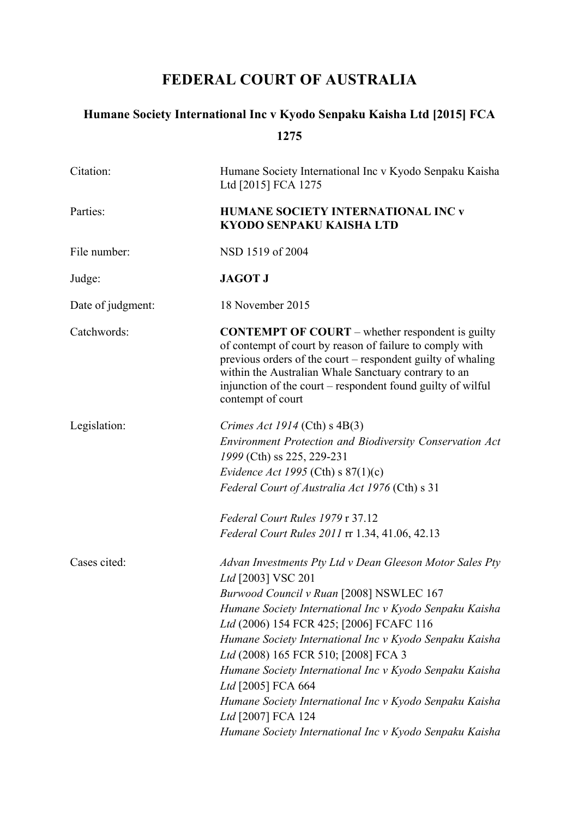# **FEDERAL COURT OF AUSTRALIA**

# **Humane Society International Inc v Kyodo Senpaku Kaisha Ltd [2015] FCA 1275**

| Citation:         | Humane Society International Inc v Kyodo Senpaku Kaisha<br>Ltd [2015] FCA 1275                                                                                                                                                                                                                                                                                                                                        |
|-------------------|-----------------------------------------------------------------------------------------------------------------------------------------------------------------------------------------------------------------------------------------------------------------------------------------------------------------------------------------------------------------------------------------------------------------------|
| Parties:          | HUMANE SOCIETY INTERNATIONAL INC v<br><b>KYODO SENPAKU KAISHA LTD</b>                                                                                                                                                                                                                                                                                                                                                 |
| File number:      | NSD 1519 of 2004                                                                                                                                                                                                                                                                                                                                                                                                      |
| Judge:            | <b>JAGOT J</b>                                                                                                                                                                                                                                                                                                                                                                                                        |
| Date of judgment: | 18 November 2015                                                                                                                                                                                                                                                                                                                                                                                                      |
| Catchwords:       | <b>CONTEMPT OF COURT</b> – whether respondent is guilty<br>of contempt of court by reason of failure to comply with<br>previous orders of the court – respondent guilty of whaling<br>within the Australian Whale Sanctuary contrary to an<br>injunction of the court – respondent found guilty of wilful<br>contempt of court                                                                                        |
| Legislation:      | Crimes Act 1914 (Cth) $s$ 4B(3)<br><b>Environment Protection and Biodiversity Conservation Act</b><br>1999 (Cth) ss 225, 229-231<br>Evidence Act 1995 (Cth) s $87(1)(c)$<br>Federal Court of Australia Act 1976 (Cth) s 31                                                                                                                                                                                            |
|                   | Federal Court Rules 1979 r 37.12<br><i>Federal Court Rules 2011</i> rr 1.34, 41.06, 42.13                                                                                                                                                                                                                                                                                                                             |
| Cases cited:      | Advan Investments Pty Ltd v Dean Gleeson Motor Sales Pty<br>Ltd [2003] VSC 201<br>Burwood Council v Ruan [2008] NSWLEC 167<br>Humane Society International Inc v Kyodo Senpaku Kaisha<br>Ltd (2006) 154 FCR 425; [2006] FCAFC 116<br>Humane Society International Inc v Kyodo Senpaku Kaisha<br>Ltd (2008) 165 FCR 510; [2008] FCA 3<br>Humane Society International Inc v Kyodo Senpaku Kaisha<br>Ltd [2005] FCA 664 |
|                   | Humane Society International Inc v Kyodo Senpaku Kaisha<br>Ltd [2007] FCA 124<br>Humane Society International Inc v Kyodo Senpaku Kaisha                                                                                                                                                                                                                                                                              |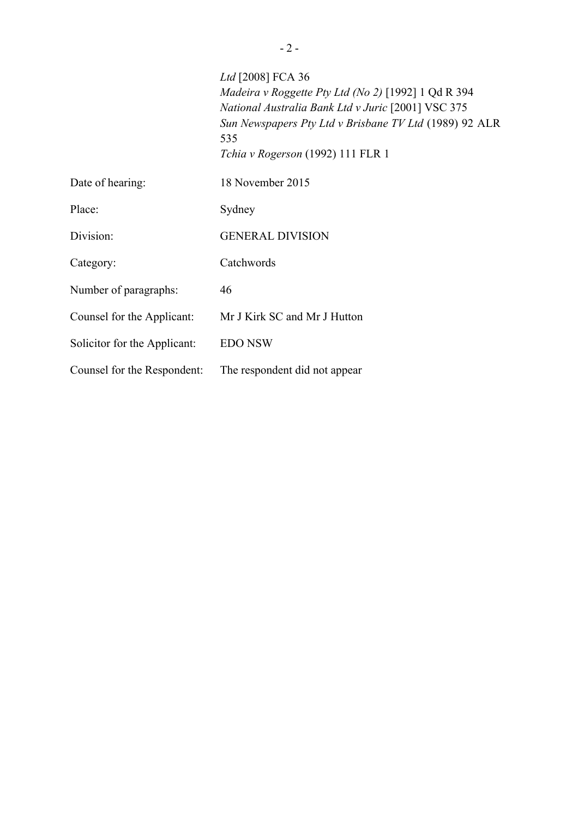|                              | Ltd [2008] FCA 36<br>Madeira v Roggette Pty Ltd (No 2) [1992] $1$ Qd R 394<br>National Australia Bank Ltd v Juric [2001] VSC 375<br>Sun Newspapers Pty Ltd v Brisbane TV Ltd (1989) 92 ALR<br>535<br>Tchia v Rogerson (1992) 111 FLR 1 |
|------------------------------|----------------------------------------------------------------------------------------------------------------------------------------------------------------------------------------------------------------------------------------|
| Date of hearing:             | 18 November 2015                                                                                                                                                                                                                       |
| Place:                       | Sydney                                                                                                                                                                                                                                 |
| Division:                    | <b>GENERAL DIVISION</b>                                                                                                                                                                                                                |
| Category:                    | Catchwords                                                                                                                                                                                                                             |
| Number of paragraphs:        | 46                                                                                                                                                                                                                                     |
| Counsel for the Applicant:   | Mr J Kirk SC and Mr J Hutton                                                                                                                                                                                                           |
| Solicitor for the Applicant: | <b>EDO NSW</b>                                                                                                                                                                                                                         |
| Counsel for the Respondent:  | The respondent did not appear                                                                                                                                                                                                          |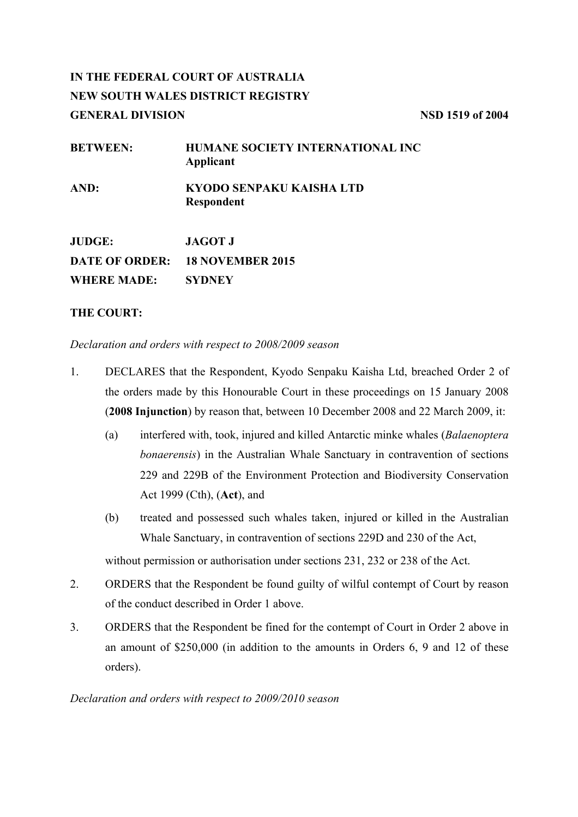# **IN THE FEDERAL COURT OF AUSTRALIA NEW SOUTH WALES DISTRICT REGISTRY GENERAL DIVISION NSD 1519 of 2004**

| <b>BETWEEN:</b>    | HUMANE SOCIETY INTERNATIONAL INC<br>Applicant |
|--------------------|-----------------------------------------------|
| AND:               | KYODO SENPAKU KAISHA LTD<br><b>Respondent</b> |
| <b>JUDGE:</b>      | <b>JAGOT J</b>                                |
|                    | DATE OF ORDER: 18 NOVEMBER 2015               |
| <b>WHERE MADE:</b> | <b>SYDNEY</b>                                 |

# **THE COURT:**

*Declaration and orders with respect to 2008/2009 season*

- 1. DECLARES that the Respondent, Kyodo Senpaku Kaisha Ltd, breached Order 2 of the orders made by this Honourable Court in these proceedings on 15 January 2008 (**2008 Injunction**) by reason that, between 10 December 2008 and 22 March 2009, it:
	- (a) interfered with, took, injured and killed Antarctic minke whales (*Balaenoptera bonaerensis*) in the Australian Whale Sanctuary in contravention of sections 229 and 229B of the Environment Protection and Biodiversity Conservation Act 1999 (Cth), (**Act**), and
	- (b) treated and possessed such whales taken, injured or killed in the Australian Whale Sanctuary, in contravention of sections 229D and 230 of the Act,

without permission or authorisation under sections 231, 232 or 238 of the Act.

- 2. ORDERS that the Respondent be found guilty of wilful contempt of Court by reason of the conduct described in Order 1 above.
- 3. ORDERS that the Respondent be fined for the contempt of Court in Order 2 above in an amount of \$250,000 (in addition to the amounts in Orders 6, 9 and 12 of these orders).

# *Declaration and orders with respect to 2009/2010 season*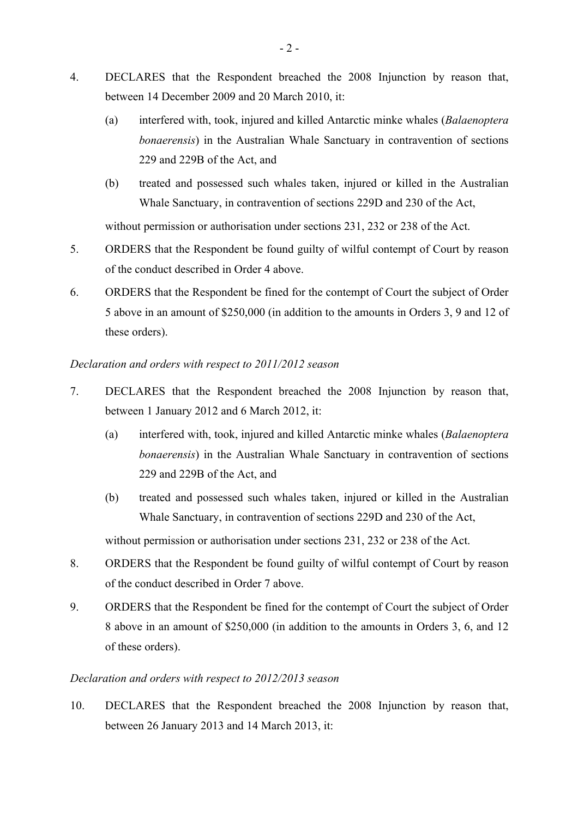- 4. DECLARES that the Respondent breached the 2008 Injunction by reason that, between 14 December 2009 and 20 March 2010, it:
	- (a) interfered with, took, injured and killed Antarctic minke whales (*Balaenoptera bonaerensis*) in the Australian Whale Sanctuary in contravention of sections 229 and 229B of the Act, and
	- (b) treated and possessed such whales taken, injured or killed in the Australian Whale Sanctuary, in contravention of sections 229D and 230 of the Act,

without permission or authorisation under sections 231, 232 or 238 of the Act.

- 5. ORDERS that the Respondent be found guilty of wilful contempt of Court by reason of the conduct described in Order 4 above.
- 6. ORDERS that the Respondent be fined for the contempt of Court the subject of Order 5 above in an amount of \$250,000 (in addition to the amounts in Orders 3, 9 and 12 of these orders).

# *Declaration and orders with respect to 2011/2012 season*

- 7. DECLARES that the Respondent breached the 2008 Injunction by reason that, between 1 January 2012 and 6 March 2012, it:
	- (a) interfered with, took, injured and killed Antarctic minke whales (*Balaenoptera bonaerensis*) in the Australian Whale Sanctuary in contravention of sections 229 and 229B of the Act, and
	- (b) treated and possessed such whales taken, injured or killed in the Australian Whale Sanctuary, in contravention of sections 229D and 230 of the Act,

without permission or authorisation under sections 231, 232 or 238 of the Act.

- 8. ORDERS that the Respondent be found guilty of wilful contempt of Court by reason of the conduct described in Order 7 above.
- 9. ORDERS that the Respondent be fined for the contempt of Court the subject of Order 8 above in an amount of \$250,000 (in addition to the amounts in Orders 3, 6, and 12 of these orders).

# *Declaration and orders with respect to 2012/2013 season*

10. DECLARES that the Respondent breached the 2008 Injunction by reason that, between 26 January 2013 and 14 March 2013, it: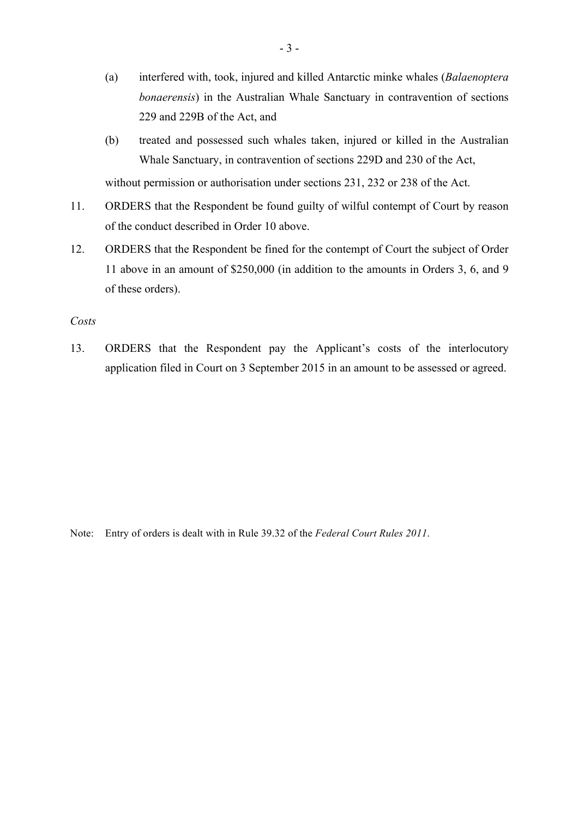- (a) interfered with, took, injured and killed Antarctic minke whales (*Balaenoptera bonaerensis*) in the Australian Whale Sanctuary in contravention of sections 229 and 229B of the Act, and
- (b) treated and possessed such whales taken, injured or killed in the Australian Whale Sanctuary, in contravention of sections 229D and 230 of the Act, without permission or authorisation under sections 231, 232 or 238 of the Act.
- 11. ORDERS that the Respondent be found guilty of wilful contempt of Court by reason of the conduct described in Order 10 above.
- 12. ORDERS that the Respondent be fined for the contempt of Court the subject of Order 11 above in an amount of \$250,000 (in addition to the amounts in Orders 3, 6, and 9 of these orders).

#### *Costs*

13. ORDERS that the Respondent pay the Applicant's costs of the interlocutory application filed in Court on 3 September 2015 in an amount to be assessed or agreed.

Note: Entry of orders is dealt with in Rule 39.32 of the *Federal Court Rules 2011*.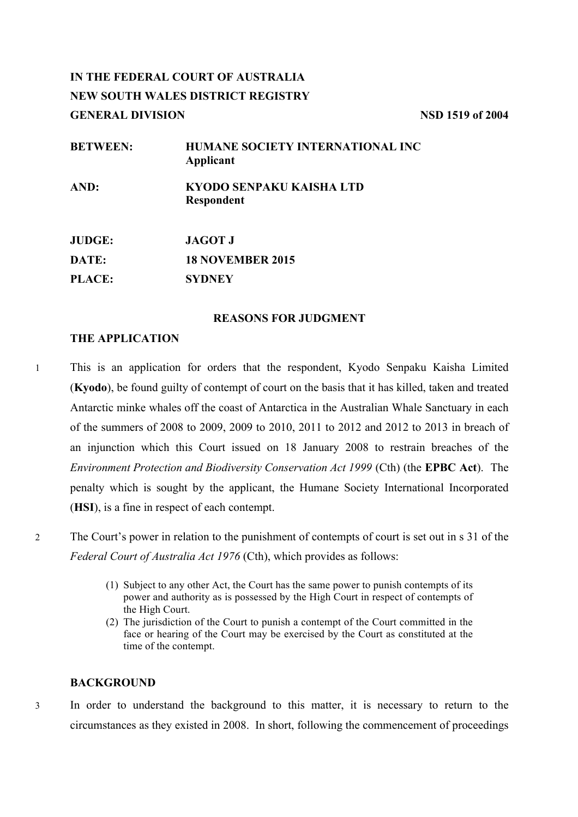# **IN THE FEDERAL COURT OF AUSTRALIA NEW SOUTH WALES DISTRICT REGISTRY GENERAL DIVISION NSD 1519 of 2004**

| <b>BETWEEN:</b> | HUMANE SOCIETY INTERNATIONAL INC<br>Applicant |
|-----------------|-----------------------------------------------|
| AND:            | KYODO SENPAKU KAISHA LTD<br>Respondent        |
| <b>JUDGE:</b>   | <b>JAGOT J</b>                                |
| DATE:           | <b>18 NOVEMBER 2015</b>                       |
| <b>PLACE:</b>   | <b>SYDNEY</b>                                 |

# **REASONS FOR JUDGMENT**

# **THE APPLICATION**

- 1 This is an application for orders that the respondent, Kyodo Senpaku Kaisha Limited (**Kyodo**), be found guilty of contempt of court on the basis that it has killed, taken and treated Antarctic minke whales off the coast of Antarctica in the Australian Whale Sanctuary in each of the summers of 2008 to 2009, 2009 to 2010, 2011 to 2012 and 2012 to 2013 in breach of an injunction which this Court issued on 18 January 2008 to restrain breaches of the *Environment Protection and Biodiversity Conservation Act 1999* (Cth) (the **EPBC Act**). The penalty which is sought by the applicant, the Humane Society International Incorporated (**HSI**), is a fine in respect of each contempt.
- 2 The Court's power in relation to the punishment of contempts of court is set out in s 31 of the *Federal Court of Australia Act 1976* (Cth), which provides as follows:
	- (1) Subject to any other Act, the Court has the same power to punish contempts of its power and authority as is possessed by the High Court in respect of contempts of the High Court.
	- (2) The jurisdiction of the Court to punish a contempt of the Court committed in the face or hearing of the Court may be exercised by the Court as constituted at the time of the contempt.

# **BACKGROUND**

3 In order to understand the background to this matter, it is necessary to return to the circumstances as they existed in 2008. In short, following the commencement of proceedings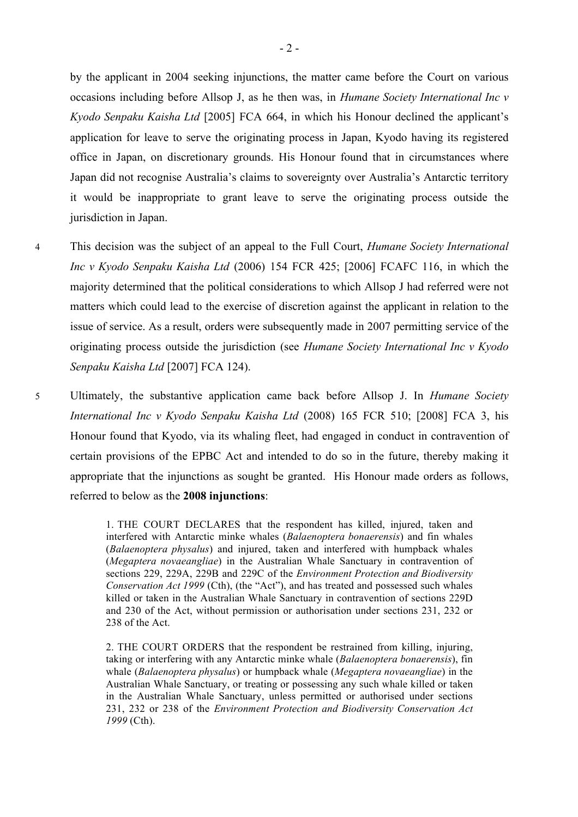by the applicant in 2004 seeking injunctions, the matter came before the Court on various occasions including before Allsop J, as he then was, in *Humane Society International Inc v Kyodo Senpaku Kaisha Ltd* [2005] FCA 664, in which his Honour declined the applicant's application for leave to serve the originating process in Japan, Kyodo having its registered office in Japan, on discretionary grounds. His Honour found that in circumstances where Japan did not recognise Australia's claims to sovereignty over Australia's Antarctic territory it would be inappropriate to grant leave to serve the originating process outside the jurisdiction in Japan.

- 4 This decision was the subject of an appeal to the Full Court, *Humane Society International Inc v Kyodo Senpaku Kaisha Ltd* (2006) 154 FCR 425; [2006] FCAFC 116, in which the majority determined that the political considerations to which Allsop J had referred were not matters which could lead to the exercise of discretion against the applicant in relation to the issue of service. As a result, orders were subsequently made in 2007 permitting service of the originating process outside the jurisdiction (see *Humane Society International Inc v Kyodo Senpaku Kaisha Ltd* [2007] FCA 124).
- 5 Ultimately, the substantive application came back before Allsop J. In *Humane Society International Inc v Kyodo Senpaku Kaisha Ltd* (2008) 165 FCR 510; [2008] FCA 3, his Honour found that Kyodo, via its whaling fleet, had engaged in conduct in contravention of certain provisions of the EPBC Act and intended to do so in the future, thereby making it appropriate that the injunctions as sought be granted. His Honour made orders as follows, referred to below as the **2008 injunctions**:

1. THE COURT DECLARES that the respondent has killed, injured, taken and interfered with Antarctic minke whales (*Balaenoptera bonaerensis*) and fin whales (*Balaenoptera physalus*) and injured, taken and interfered with humpback whales (*Megaptera novaeangliae*) in the Australian Whale Sanctuary in contravention of sections 229, 229A, 229B and 229C of the *Environment Protection and Biodiversity Conservation Act 1999* (Cth), (the "Act"), and has treated and possessed such whales killed or taken in the Australian Whale Sanctuary in contravention of sections 229D and 230 of the Act, without permission or authorisation under sections 231, 232 or 238 of the Act.

2. THE COURT ORDERS that the respondent be restrained from killing, injuring, taking or interfering with any Antarctic minke whale (*Balaenoptera bonaerensis*), fin whale (*Balaenoptera physalus*) or humpback whale (*Megaptera novaeangliae*) in the Australian Whale Sanctuary, or treating or possessing any such whale killed or taken in the Australian Whale Sanctuary, unless permitted or authorised under sections 231, 232 or 238 of the *Environment Protection and Biodiversity Conservation Act 1999* (Cth).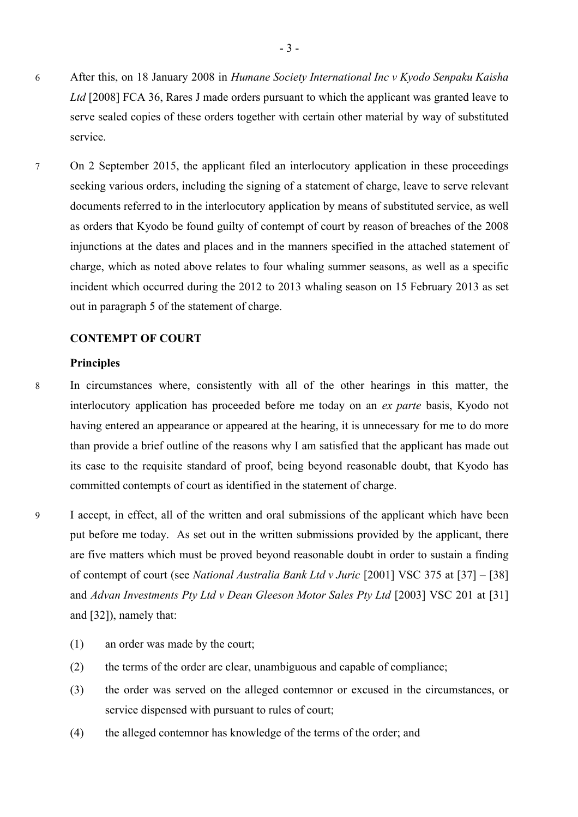- 6 After this, on 18 January 2008 in *Humane Society International Inc v Kyodo Senpaku Kaisha Ltd* [2008] FCA 36, Rares J made orders pursuant to which the applicant was granted leave to serve sealed copies of these orders together with certain other material by way of substituted service.
- 7 On 2 September 2015, the applicant filed an interlocutory application in these proceedings seeking various orders, including the signing of a statement of charge, leave to serve relevant documents referred to in the interlocutory application by means of substituted service, as well as orders that Kyodo be found guilty of contempt of court by reason of breaches of the 2008 injunctions at the dates and places and in the manners specified in the attached statement of charge, which as noted above relates to four whaling summer seasons, as well as a specific incident which occurred during the 2012 to 2013 whaling season on 15 February 2013 as set out in paragraph 5 of the statement of charge.

# **CONTEMPT OF COURT**

#### **Principles**

- 8 In circumstances where, consistently with all of the other hearings in this matter, the interlocutory application has proceeded before me today on an *ex parte* basis, Kyodo not having entered an appearance or appeared at the hearing, it is unnecessary for me to do more than provide a brief outline of the reasons why I am satisfied that the applicant has made out its case to the requisite standard of proof, being beyond reasonable doubt, that Kyodo has committed contempts of court as identified in the statement of charge.
- 9 I accept, in effect, all of the written and oral submissions of the applicant which have been put before me today. As set out in the written submissions provided by the applicant, there are five matters which must be proved beyond reasonable doubt in order to sustain a finding of contempt of court (see *National Australia Bank Ltd v Juric* [2001] VSC 375 at [37] – [38] and *Advan Investments Pty Ltd v Dean Gleeson Motor Sales Pty Ltd* [2003] VSC 201 at [31] and [32]), namely that:
	- (1) an order was made by the court;
	- (2) the terms of the order are clear, unambiguous and capable of compliance;
	- (3) the order was served on the alleged contemnor or excused in the circumstances, or service dispensed with pursuant to rules of court;
	- (4) the alleged contemnor has knowledge of the terms of the order; and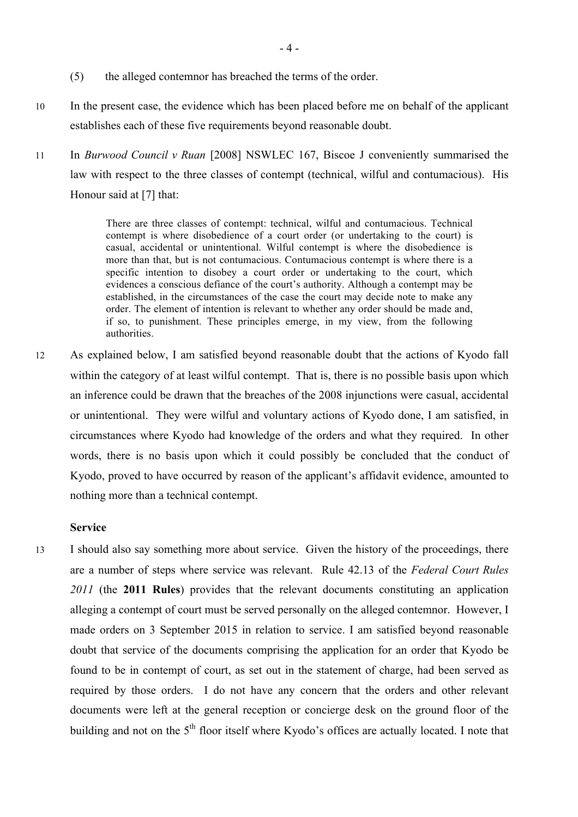- (5) the alleged contemnor has breached the terms of the order.
- 10 In the present case, the evidence which has been placed before me on behalf of the applicant establishes each of these five requirements beyond reasonable doubt.
- 11 In *Burwood Council v Ruan* [2008] NSWLEC 167, Biscoe J conveniently summarised the law with respect to the three classes of contempt (technical, wilful and contumacious). His Honour said at [7] that:

There are three classes of contempt: technical, wilful and contumacious. Technical contempt is where disobedience of a court order (or undertaking to the court) is casual, accidental or unintentional. Wilful contempt is where the disobedience is more than that, but is not contumacious. Contumacious contempt is where there is a specific intention to disobey a court order or undertaking to the court, which evidences a conscious defiance of the court's authority. Although a contempt may be established, in the circumstances of the case the court may decide note to make any order. The element of intention is relevant to whether any order should be made and, if so, to punishment. These principles emerge, in my view, from the following authorities.

12 As explained below, I am satisfied beyond reasonable doubt that the actions of Kyodo fall within the category of at least wilful contempt. That is, there is no possible basis upon which an inference could be drawn that the breaches of the 2008 injunctions were casual, accidental or unintentional. They were wilful and voluntary actions of Kyodo done, I am satisfied, in circumstances where Kyodo had knowledge of the orders and what they required. In other words, there is no basis upon which it could possibly be concluded that the conduct of Kyodo, proved to have occurred by reason of the applicant's affidavit evidence, amounted to nothing more than a technical contempt.

### **Service**

13 I should also say something more about service. Given the history of the proceedings, there are a number of steps where service was relevant. Rule 42.13 of the *Federal Court Rules 2011* (the **2011 Rules**) provides that the relevant documents constituting an application alleging a contempt of court must be served personally on the alleged contemnor. However, I made orders on 3 September 2015 in relation to service. I am satisfied beyond reasonable doubt that service of the documents comprising the application for an order that Kyodo be found to be in contempt of court, as set out in the statement of charge, had been served as required by those orders. I do not have any concern that the orders and other relevant documents were left at the general reception or concierge desk on the ground floor of the building and not on the 5<sup>th</sup> floor itself where Kyodo's offices are actually located. I note that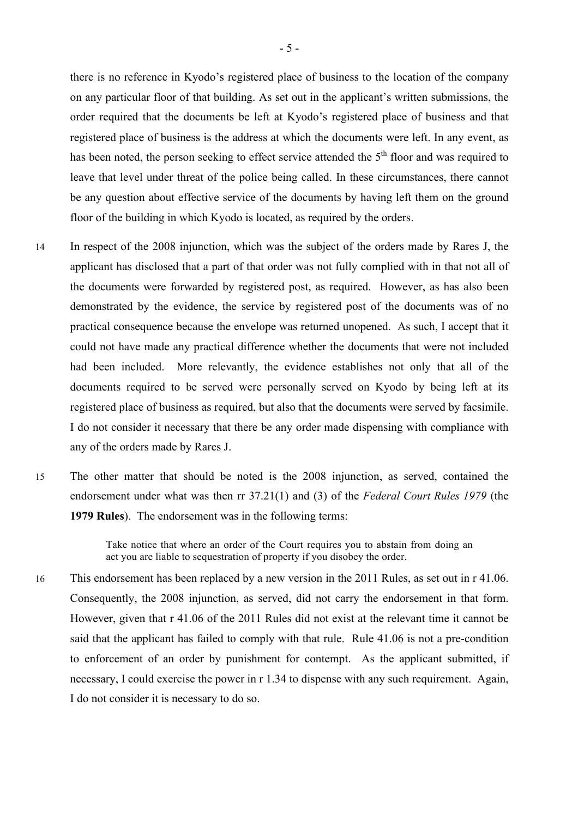there is no reference in Kyodo's registered place of business to the location of the company on any particular floor of that building. As set out in the applicant's written submissions, the order required that the documents be left at Kyodo's registered place of business and that registered place of business is the address at which the documents were left. In any event, as has been noted, the person seeking to effect service attended the 5<sup>th</sup> floor and was required to leave that level under threat of the police being called. In these circumstances, there cannot be any question about effective service of the documents by having left them on the ground floor of the building in which Kyodo is located, as required by the orders.

- 14 In respect of the 2008 injunction, which was the subject of the orders made by Rares J, the applicant has disclosed that a part of that order was not fully complied with in that not all of the documents were forwarded by registered post, as required. However, as has also been demonstrated by the evidence, the service by registered post of the documents was of no practical consequence because the envelope was returned unopened. As such, I accept that it could not have made any practical difference whether the documents that were not included had been included. More relevantly, the evidence establishes not only that all of the documents required to be served were personally served on Kyodo by being left at its registered place of business as required, but also that the documents were served by facsimile. I do not consider it necessary that there be any order made dispensing with compliance with any of the orders made by Rares J.
- 15 The other matter that should be noted is the 2008 injunction, as served, contained the endorsement under what was then rr 37.21(1) and (3) of the *Federal Court Rules 1979* (the **1979 Rules**). The endorsement was in the following terms:

Take notice that where an order of the Court requires you to abstain from doing an act you are liable to sequestration of property if you disobey the order.

16 This endorsement has been replaced by a new version in the 2011 Rules, as set out in r 41.06. Consequently, the 2008 injunction, as served, did not carry the endorsement in that form. However, given that r 41.06 of the 2011 Rules did not exist at the relevant time it cannot be said that the applicant has failed to comply with that rule. Rule 41.06 is not a pre-condition to enforcement of an order by punishment for contempt. As the applicant submitted, if necessary, I could exercise the power in r 1.34 to dispense with any such requirement. Again, I do not consider it is necessary to do so.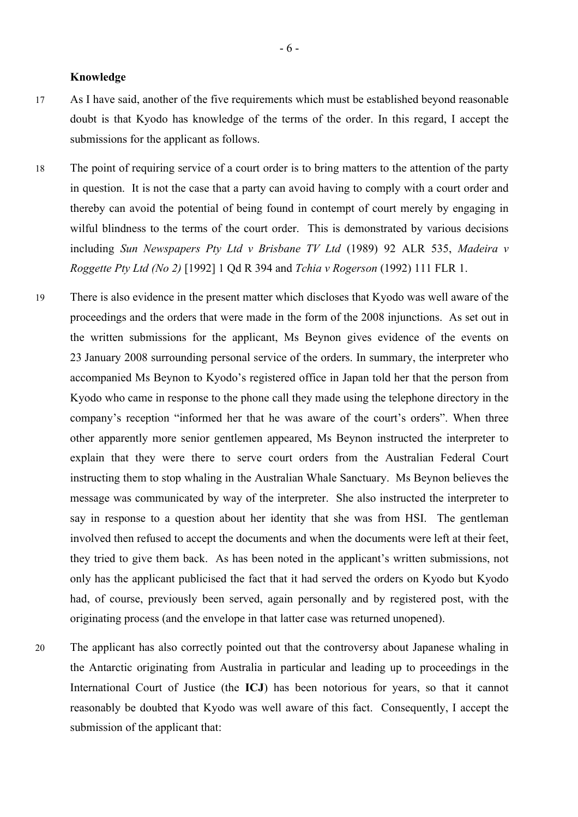#### **Knowledge**

- 17 As I have said, another of the five requirements which must be established beyond reasonable doubt is that Kyodo has knowledge of the terms of the order. In this regard, I accept the submissions for the applicant as follows.
- 18 The point of requiring service of a court order is to bring matters to the attention of the party in question. It is not the case that a party can avoid having to comply with a court order and thereby can avoid the potential of being found in contempt of court merely by engaging in wilful blindness to the terms of the court order. This is demonstrated by various decisions including *Sun Newspapers Pty Ltd v Brisbane TV Ltd* (1989) 92 ALR 535, *Madeira v Roggette Pty Ltd (No 2)* [1992] 1 Qd R 394 and *Tchia v Rogerson* (1992) 111 FLR 1.
- 19 There is also evidence in the present matter which discloses that Kyodo was well aware of the proceedings and the orders that were made in the form of the 2008 injunctions. As set out in the written submissions for the applicant, Ms Beynon gives evidence of the events on 23 January 2008 surrounding personal service of the orders. In summary, the interpreter who accompanied Ms Beynon to Kyodo's registered office in Japan told her that the person from Kyodo who came in response to the phone call they made using the telephone directory in the company's reception "informed her that he was aware of the court's orders". When three other apparently more senior gentlemen appeared, Ms Beynon instructed the interpreter to explain that they were there to serve court orders from the Australian Federal Court instructing them to stop whaling in the Australian Whale Sanctuary. Ms Beynon believes the message was communicated by way of the interpreter. She also instructed the interpreter to say in response to a question about her identity that she was from HSI. The gentleman involved then refused to accept the documents and when the documents were left at their feet, they tried to give them back. As has been noted in the applicant's written submissions, not only has the applicant publicised the fact that it had served the orders on Kyodo but Kyodo had, of course, previously been served, again personally and by registered post, with the originating process (and the envelope in that latter case was returned unopened).
- 20 The applicant has also correctly pointed out that the controversy about Japanese whaling in the Antarctic originating from Australia in particular and leading up to proceedings in the International Court of Justice (the **ICJ**) has been notorious for years, so that it cannot reasonably be doubted that Kyodo was well aware of this fact. Consequently, I accept the submission of the applicant that: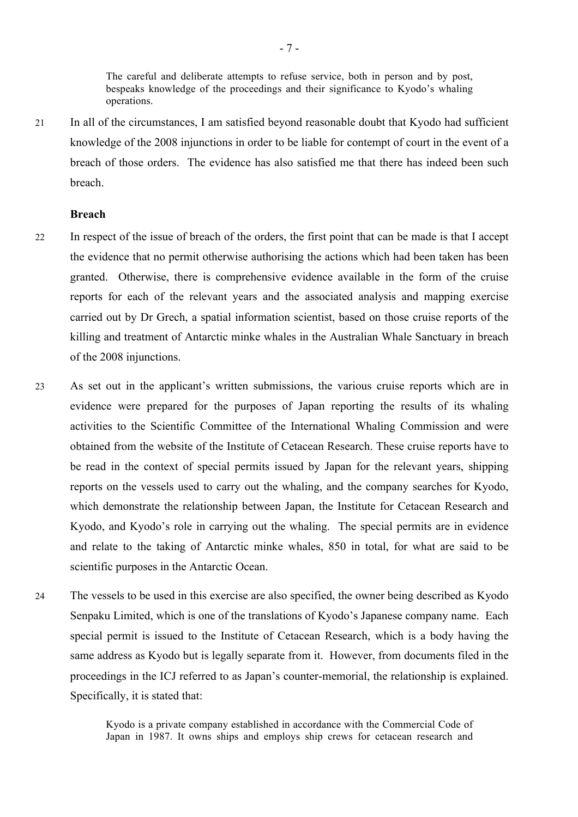The careful and deliberate attempts to refuse service, both in person and by post, bespeaks knowledge of the proceedings and their significance to Kyodo's whaling operations.

21 In all of the circumstances, I am satisfied beyond reasonable doubt that Kyodo had sufficient knowledge of the 2008 injunctions in order to be liable for contempt of court in the event of a breach of those orders. The evidence has also satisfied me that there has indeed been such breach.

#### **Breach**

- 22 In respect of the issue of breach of the orders, the first point that can be made is that I accept the evidence that no permit otherwise authorising the actions which had been taken has been granted. Otherwise, there is comprehensive evidence available in the form of the cruise reports for each of the relevant years and the associated analysis and mapping exercise carried out by Dr Grech, a spatial information scientist, based on those cruise reports of the killing and treatment of Antarctic minke whales in the Australian Whale Sanctuary in breach of the 2008 injunctions.
- 23 As set out in the applicant's written submissions, the various cruise reports which are in evidence were prepared for the purposes of Japan reporting the results of its whaling activities to the Scientific Committee of the International Whaling Commission and were obtained from the website of the Institute of Cetacean Research. These cruise reports have to be read in the context of special permits issued by Japan for the relevant years, shipping reports on the vessels used to carry out the whaling, and the company searches for Kyodo, which demonstrate the relationship between Japan, the Institute for Cetacean Research and Kyodo, and Kyodo's role in carrying out the whaling. The special permits are in evidence and relate to the taking of Antarctic minke whales, 850 in total, for what are said to be scientific purposes in the Antarctic Ocean.
- 24 The vessels to be used in this exercise are also specified, the owner being described as Kyodo Senpaku Limited, which is one of the translations of Kyodo's Japanese company name. Each special permit is issued to the Institute of Cetacean Research, which is a body having the same address as Kyodo but is legally separate from it. However, from documents filed in the proceedings in the ICJ referred to as Japan's counter-memorial, the relationship is explained. Specifically, it is stated that:

Kyodo is a private company established in accordance with the Commercial Code of Japan in 1987. It owns ships and employs ship crews for cetacean research and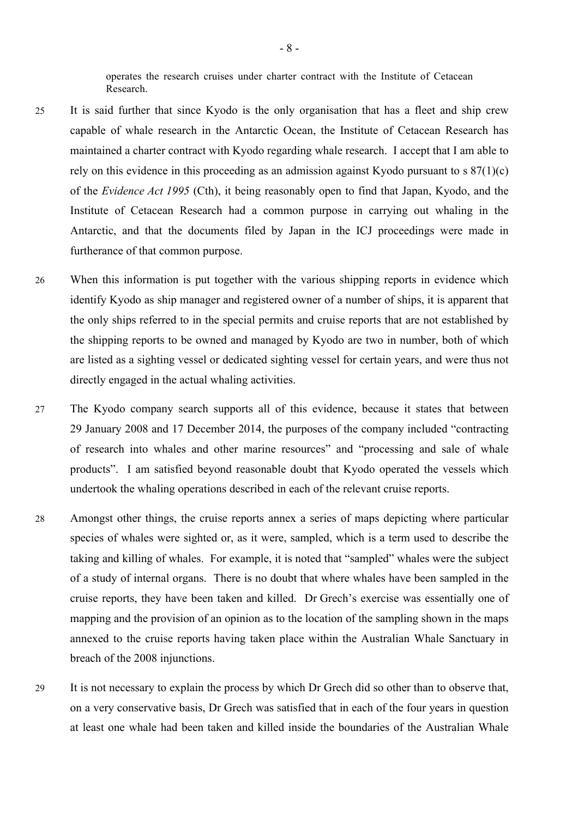operates the research cruises under charter contract with the Institute of Cetacean Research.

- 25 It is said further that since Kyodo is the only organisation that has a fleet and ship crew capable of whale research in the Antarctic Ocean, the Institute of Cetacean Research has maintained a charter contract with Kyodo regarding whale research. I accept that I am able to rely on this evidence in this proceeding as an admission against Kyodo pursuant to s 87(1)(c) of the *Evidence Act 1995* (Cth), it being reasonably open to find that Japan, Kyodo, and the Institute of Cetacean Research had a common purpose in carrying out whaling in the Antarctic, and that the documents filed by Japan in the ICJ proceedings were made in furtherance of that common purpose.
- 26 When this information is put together with the various shipping reports in evidence which identify Kyodo as ship manager and registered owner of a number of ships, it is apparent that the only ships referred to in the special permits and cruise reports that are not established by the shipping reports to be owned and managed by Kyodo are two in number, both of which are listed as a sighting vessel or dedicated sighting vessel for certain years, and were thus not directly engaged in the actual whaling activities.
- 27 The Kyodo company search supports all of this evidence, because it states that between 29 January 2008 and 17 December 2014, the purposes of the company included "contracting of research into whales and other marine resources" and "processing and sale of whale products". I am satisfied beyond reasonable doubt that Kyodo operated the vessels which undertook the whaling operations described in each of the relevant cruise reports.
- 28 Amongst other things, the cruise reports annex a series of maps depicting where particular species of whales were sighted or, as it were, sampled, which is a term used to describe the taking and killing of whales. For example, it is noted that "sampled" whales were the subject of a study of internal organs. There is no doubt that where whales have been sampled in the cruise reports, they have been taken and killed. Dr Grech's exercise was essentially one of mapping and the provision of an opinion as to the location of the sampling shown in the maps annexed to the cruise reports having taken place within the Australian Whale Sanctuary in breach of the 2008 injunctions.
- 29 It is not necessary to explain the process by which Dr Grech did so other than to observe that, on a very conservative basis, Dr Grech was satisfied that in each of the four years in question at least one whale had been taken and killed inside the boundaries of the Australian Whale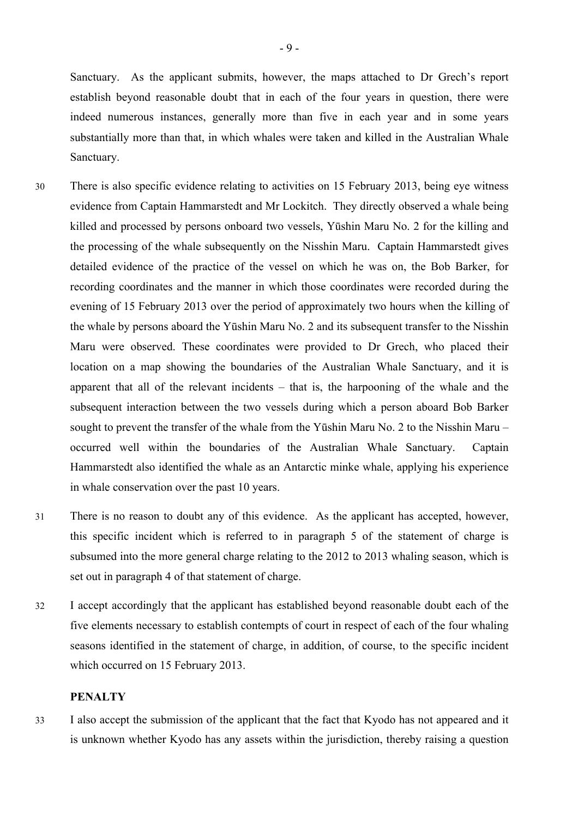Sanctuary. As the applicant submits, however, the maps attached to Dr Grech's report establish beyond reasonable doubt that in each of the four years in question, there were indeed numerous instances, generally more than five in each year and in some years substantially more than that, in which whales were taken and killed in the Australian Whale Sanctuary.

- 30 There is also specific evidence relating to activities on 15 February 2013, being eye witness evidence from Captain Hammarstedt and Mr Lockitch. They directly observed a whale being killed and processed by persons onboard two vessels, Yūshin Maru No. 2 for the killing and the processing of the whale subsequently on the Nisshin Maru. Captain Hammarstedt gives detailed evidence of the practice of the vessel on which he was on, the Bob Barker, for recording coordinates and the manner in which those coordinates were recorded during the evening of 15 February 2013 over the period of approximately two hours when the killing of the whale by persons aboard the Yūshin Maru No. 2 and its subsequent transfer to the Nisshin Maru were observed. These coordinates were provided to Dr Grech, who placed their location on a map showing the boundaries of the Australian Whale Sanctuary, and it is apparent that all of the relevant incidents – that is, the harpooning of the whale and the subsequent interaction between the two vessels during which a person aboard Bob Barker sought to prevent the transfer of the whale from the Yūshin Maru No. 2 to the Nisshin Maru – occurred well within the boundaries of the Australian Whale Sanctuary. Captain Hammarstedt also identified the whale as an Antarctic minke whale, applying his experience in whale conservation over the past 10 years.
- 31 There is no reason to doubt any of this evidence. As the applicant has accepted, however, this specific incident which is referred to in paragraph 5 of the statement of charge is subsumed into the more general charge relating to the 2012 to 2013 whaling season, which is set out in paragraph 4 of that statement of charge.
- 32 I accept accordingly that the applicant has established beyond reasonable doubt each of the five elements necessary to establish contempts of court in respect of each of the four whaling seasons identified in the statement of charge, in addition, of course, to the specific incident which occurred on 15 February 2013.

#### **PENALTY**

33 I also accept the submission of the applicant that the fact that Kyodo has not appeared and it is unknown whether Kyodo has any assets within the jurisdiction, thereby raising a question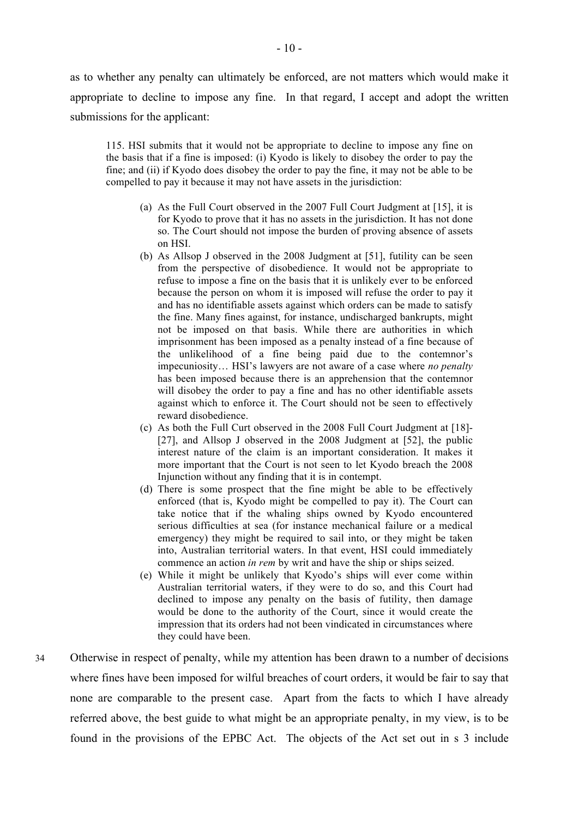as to whether any penalty can ultimately be enforced, are not matters which would make it appropriate to decline to impose any fine. In that regard, I accept and adopt the written submissions for the applicant:

115. HSI submits that it would not be appropriate to decline to impose any fine on the basis that if a fine is imposed: (i) Kyodo is likely to disobey the order to pay the fine; and (ii) if Kyodo does disobey the order to pay the fine, it may not be able to be compelled to pay it because it may not have assets in the jurisdiction:

- (a) As the Full Court observed in the 2007 Full Court Judgment at [15], it is for Kyodo to prove that it has no assets in the jurisdiction. It has not done so. The Court should not impose the burden of proving absence of assets on HSI.
- (b) As Allsop J observed in the 2008 Judgment at [51], futility can be seen from the perspective of disobedience. It would not be appropriate to refuse to impose a fine on the basis that it is unlikely ever to be enforced because the person on whom it is imposed will refuse the order to pay it and has no identifiable assets against which orders can be made to satisfy the fine. Many fines against, for instance, undischarged bankrupts, might not be imposed on that basis. While there are authorities in which imprisonment has been imposed as a penalty instead of a fine because of the unlikelihood of a fine being paid due to the contemnor's impecuniosity… HSI's lawyers are not aware of a case where *no penalty*  has been imposed because there is an apprehension that the contemnor will disobey the order to pay a fine and has no other identifiable assets against which to enforce it. The Court should not be seen to effectively reward disobedience.
- (c) As both the Full Curt observed in the 2008 Full Court Judgment at [18]- [27], and Allsop J observed in the 2008 Judgment at [52], the public interest nature of the claim is an important consideration. It makes it more important that the Court is not seen to let Kyodo breach the 2008 Injunction without any finding that it is in contempt.
- (d) There is some prospect that the fine might be able to be effectively enforced (that is, Kyodo might be compelled to pay it). The Court can take notice that if the whaling ships owned by Kyodo encountered serious difficulties at sea (for instance mechanical failure or a medical emergency) they might be required to sail into, or they might be taken into, Australian territorial waters. In that event, HSI could immediately commence an action *in rem* by writ and have the ship or ships seized.
- (e) While it might be unlikely that Kyodo's ships will ever come within Australian territorial waters, if they were to do so, and this Court had declined to impose any penalty on the basis of futility, then damage would be done to the authority of the Court, since it would create the impression that its orders had not been vindicated in circumstances where they could have been.
- 34 Otherwise in respect of penalty, while my attention has been drawn to a number of decisions where fines have been imposed for wilful breaches of court orders, it would be fair to say that none are comparable to the present case. Apart from the facts to which I have already referred above, the best guide to what might be an appropriate penalty, in my view, is to be found in the provisions of the EPBC Act. The objects of the Act set out in s 3 include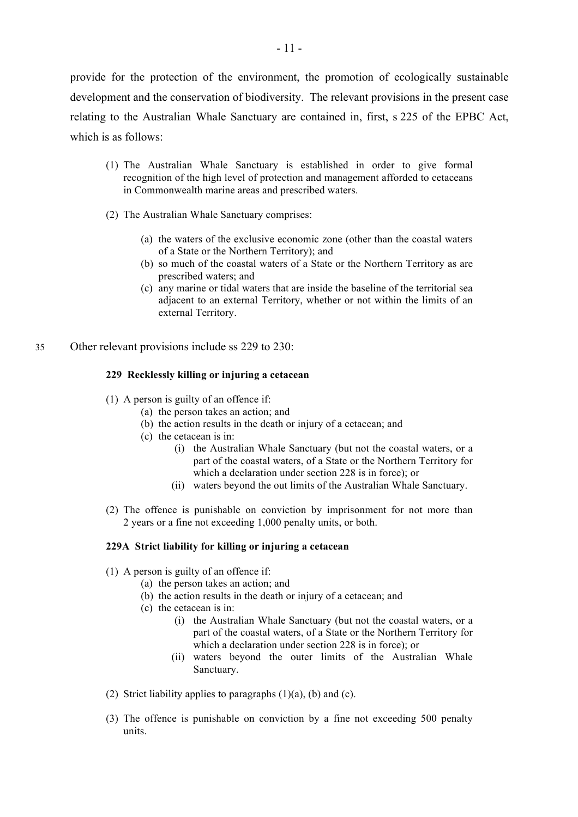provide for the protection of the environment, the promotion of ecologically sustainable development and the conservation of biodiversity. The relevant provisions in the present case relating to the Australian Whale Sanctuary are contained in, first, s 225 of the EPBC Act, which is as follows:

- (1) The Australian Whale Sanctuary is established in order to give formal recognition of the high level of protection and management afforded to cetaceans in Commonwealth marine areas and prescribed waters.
- (2) The Australian Whale Sanctuary comprises:
	- (a) the waters of the exclusive economic zone (other than the coastal waters of a State or the Northern Territory); and
	- (b) so much of the coastal waters of a State or the Northern Territory as are prescribed waters; and
	- (c) any marine or tidal waters that are inside the baseline of the territorial sea adjacent to an external Territory, whether or not within the limits of an external Territory.
- 35 Other relevant provisions include ss 229 to 230:

### **229 Recklessly killing or injuring a cetacean**

- (1) A person is guilty of an offence if:
	- (a) the person takes an action; and
	- (b) the action results in the death or injury of a cetacean; and
	- (c) the cetacean is in:
		- (i) the Australian Whale Sanctuary (but not the coastal waters, or a part of the coastal waters, of a State or the Northern Territory for which a declaration under section 228 is in force); or
		- (ii) waters beyond the out limits of the Australian Whale Sanctuary.
- (2) The offence is punishable on conviction by imprisonment for not more than 2 years or a fine not exceeding 1,000 penalty units, or both.

#### **229A Strict liability for killing or injuring a cetacean**

- (1) A person is guilty of an offence if:
	- (a) the person takes an action; and
	- (b) the action results in the death or injury of a cetacean; and
	- (c) the cetacean is in:
		- (i) the Australian Whale Sanctuary (but not the coastal waters, or a part of the coastal waters, of a State or the Northern Territory for which a declaration under section 228 is in force); or
		- (ii) waters beyond the outer limits of the Australian Whale Sanctuary.
- (2) Strict liability applies to paragraphs  $(1)(a)$ ,  $(b)$  and  $(c)$ .
- (3) The offence is punishable on conviction by a fine not exceeding 500 penalty units.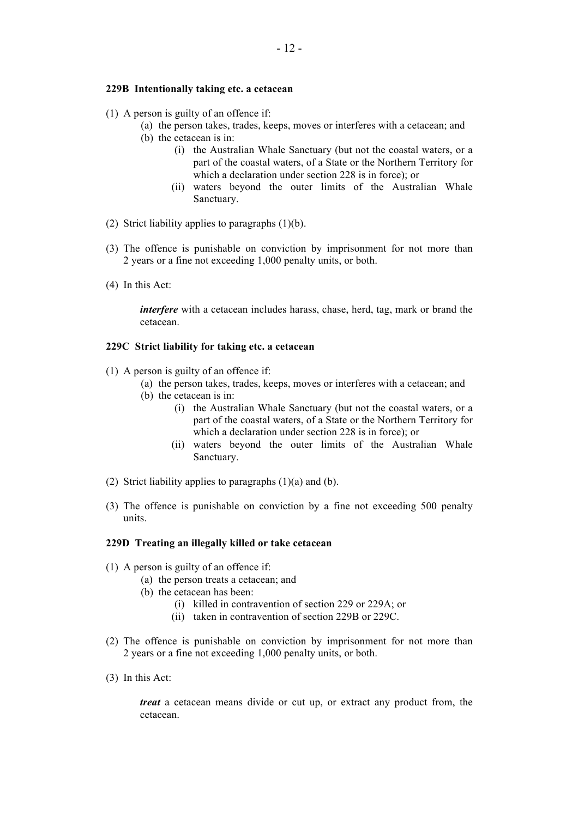#### **229B Intentionally taking etc. a cetacean**

- (1) A person is guilty of an offence if:
	- (a) the person takes, trades, keeps, moves or interferes with a cetacean; and (b) the cetacean is in:
		- (i) the Australian Whale Sanctuary (but not the coastal waters, or a part of the coastal waters, of a State or the Northern Territory for which a declaration under section 228 is in force); or
		- (ii) waters beyond the outer limits of the Australian Whale Sanctuary.
- (2) Strict liability applies to paragraphs  $(1)(b)$ .
- (3) The offence is punishable on conviction by imprisonment for not more than 2 years or a fine not exceeding 1,000 penalty units, or both.
- (4) In this Act:

*interfere* with a cetacean includes harass, chase, herd, tag, mark or brand the cetacean.

#### **229C Strict liability for taking etc. a cetacean**

- (1) A person is guilty of an offence if:
	- (a) the person takes, trades, keeps, moves or interferes with a cetacean; and
	- (b) the cetacean is in:
		- (i) the Australian Whale Sanctuary (but not the coastal waters, or a part of the coastal waters, of a State or the Northern Territory for which a declaration under section 228 is in force); or
		- (ii) waters beyond the outer limits of the Australian Whale Sanctuary.
- (2) Strict liability applies to paragraphs (1)(a) and (b).
- (3) The offence is punishable on conviction by a fine not exceeding 500 penalty units.

#### **229D Treating an illegally killed or take cetacean**

- (1) A person is guilty of an offence if:
	- (a) the person treats a cetacean; and
	- (b) the cetacean has been:
		- (i) killed in contravention of section 229 or 229A; or
		- (ii) taken in contravention of section 229B or 229C.
- (2) The offence is punishable on conviction by imprisonment for not more than 2 years or a fine not exceeding 1,000 penalty units, or both.
- (3) In this Act:

*treat* a cetacean means divide or cut up, or extract any product from, the cetacean.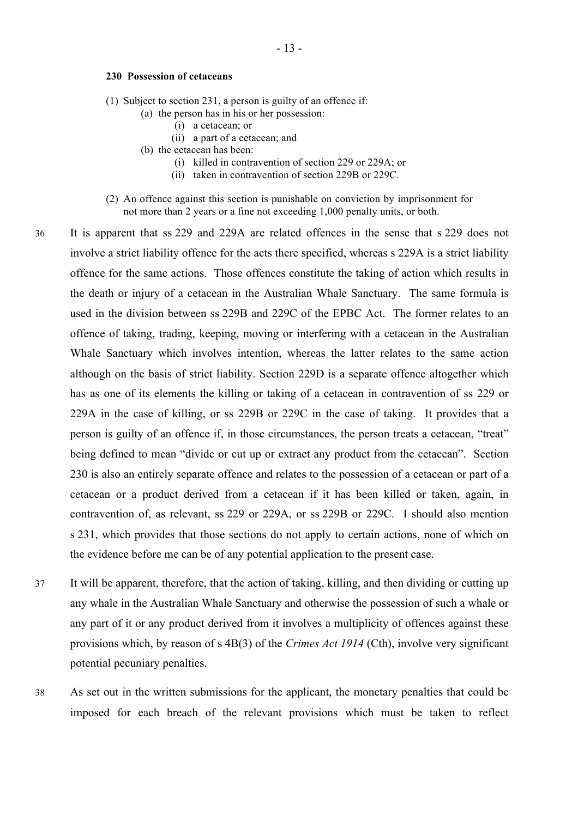#### **230 Possession of cetaceans**

- (1) Subject to section 231, a person is guilty of an offence if:
	- (a) the person has in his or her possession:
		- (i) a cetacean; or
		- (ii) a part of a cetacean; and
	- (b) the cetacean has been:
		- (i) killed in contravention of section 229 or 229A; or
		- (ii) taken in contravention of section 229B or 229C.
- (2) An offence against this section is punishable on conviction by imprisonment for not more than 2 years or a fine not exceeding 1,000 penalty units, or both.
- 36 It is apparent that ss 229 and 229A are related offences in the sense that s 229 does not involve a strict liability offence for the acts there specified, whereas s 229A is a strict liability offence for the same actions. Those offences constitute the taking of action which results in the death or injury of a cetacean in the Australian Whale Sanctuary. The same formula is used in the division between ss 229B and 229C of the EPBC Act. The former relates to an offence of taking, trading, keeping, moving or interfering with a cetacean in the Australian Whale Sanctuary which involves intention, whereas the latter relates to the same action although on the basis of strict liability. Section 229D is a separate offence altogether which has as one of its elements the killing or taking of a cetacean in contravention of ss 229 or 229A in the case of killing, or ss 229B or 229C in the case of taking. It provides that a person is guilty of an offence if, in those circumstances, the person treats a cetacean, "treat" being defined to mean "divide or cut up or extract any product from the cetacean". Section 230 is also an entirely separate offence and relates to the possession of a cetacean or part of a cetacean or a product derived from a cetacean if it has been killed or taken, again, in contravention of, as relevant, ss 229 or 229A, or ss 229B or 229C. I should also mention s 231, which provides that those sections do not apply to certain actions, none of which on the evidence before me can be of any potential application to the present case.
- 37 It will be apparent, therefore, that the action of taking, killing, and then dividing or cutting up any whale in the Australian Whale Sanctuary and otherwise the possession of such a whale or any part of it or any product derived from it involves a multiplicity of offences against these provisions which, by reason of s 4B(3) of the *Crimes Act 1914* (Cth), involve very significant potential pecuniary penalties.
- 38 As set out in the written submissions for the applicant, the monetary penalties that could be imposed for each breach of the relevant provisions which must be taken to reflect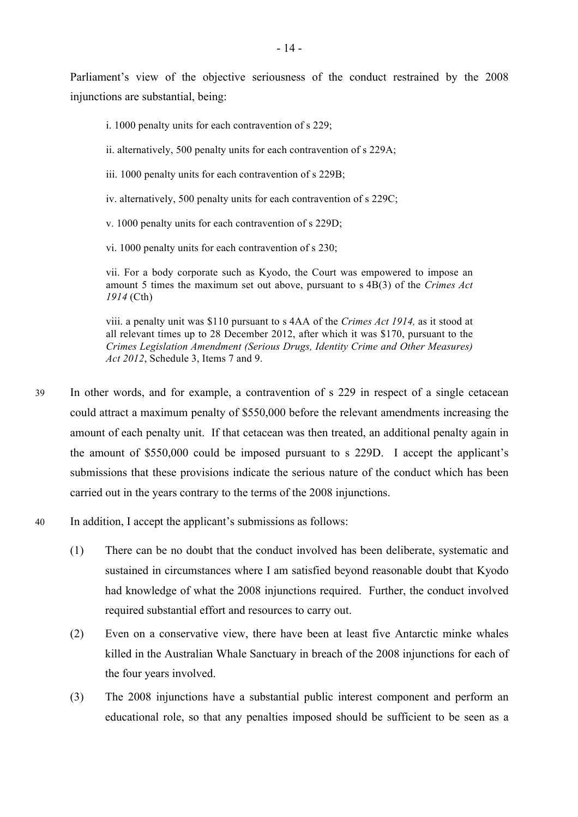Parliament's view of the objective seriousness of the conduct restrained by the 2008 injunctions are substantial, being:

- i. 1000 penalty units for each contravention of s 229;
- ii. alternatively, 500 penalty units for each contravention of s 229A;
- iii. 1000 penalty units for each contravention of s 229B;
- iv. alternatively, 500 penalty units for each contravention of s 229C;
- v. 1000 penalty units for each contravention of s 229D;
- vi. 1000 penalty units for each contravention of s 230;

vii. For a body corporate such as Kyodo, the Court was empowered to impose an amount 5 times the maximum set out above, pursuant to s 4B(3) of the *Crimes Act 1914* (Cth)

viii. a penalty unit was \$110 pursuant to s 4AA of the *Crimes Act 1914,* as it stood at all relevant times up to 28 December 2012, after which it was \$170, pursuant to the *Crimes Legislation Amendment (Serious Drugs, Identity Crime and Other Measures) Act 2012*, Schedule 3, Items 7 and 9.

- 39 In other words, and for example, a contravention of s 229 in respect of a single cetacean could attract a maximum penalty of \$550,000 before the relevant amendments increasing the amount of each penalty unit. If that cetacean was then treated, an additional penalty again in the amount of \$550,000 could be imposed pursuant to s 229D. I accept the applicant's submissions that these provisions indicate the serious nature of the conduct which has been carried out in the years contrary to the terms of the 2008 injunctions.
- 40 In addition, I accept the applicant's submissions as follows:
	- (1) There can be no doubt that the conduct involved has been deliberate, systematic and sustained in circumstances where I am satisfied beyond reasonable doubt that Kyodo had knowledge of what the 2008 injunctions required. Further, the conduct involved required substantial effort and resources to carry out.
	- (2) Even on a conservative view, there have been at least five Antarctic minke whales killed in the Australian Whale Sanctuary in breach of the 2008 injunctions for each of the four years involved.
	- (3) The 2008 injunctions have a substantial public interest component and perform an educational role, so that any penalties imposed should be sufficient to be seen as a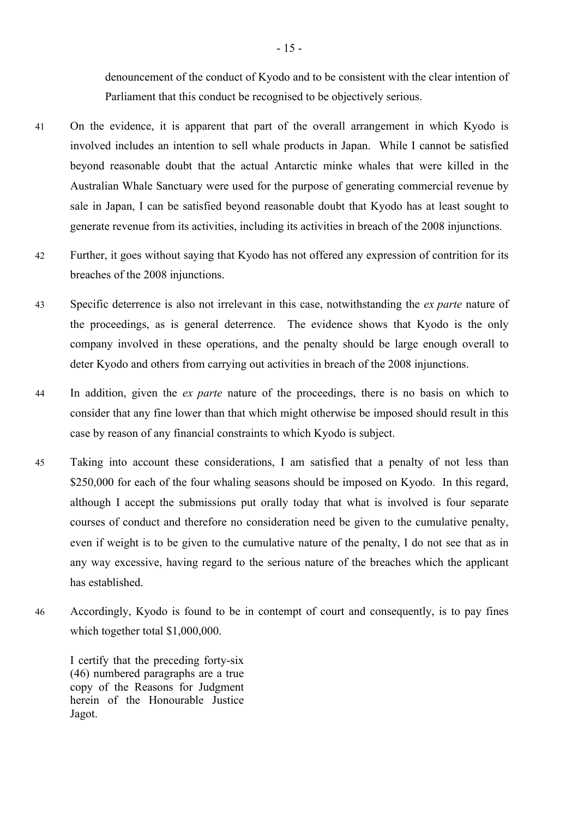denouncement of the conduct of Kyodo and to be consistent with the clear intention of Parliament that this conduct be recognised to be objectively serious.

- 41 On the evidence, it is apparent that part of the overall arrangement in which Kyodo is involved includes an intention to sell whale products in Japan. While I cannot be satisfied beyond reasonable doubt that the actual Antarctic minke whales that were killed in the Australian Whale Sanctuary were used for the purpose of generating commercial revenue by sale in Japan, I can be satisfied beyond reasonable doubt that Kyodo has at least sought to generate revenue from its activities, including its activities in breach of the 2008 injunctions.
- 42 Further, it goes without saying that Kyodo has not offered any expression of contrition for its breaches of the 2008 injunctions.
- 43 Specific deterrence is also not irrelevant in this case, notwithstanding the *ex parte* nature of the proceedings, as is general deterrence. The evidence shows that Kyodo is the only company involved in these operations, and the penalty should be large enough overall to deter Kyodo and others from carrying out activities in breach of the 2008 injunctions.
- 44 In addition, given the *ex parte* nature of the proceedings, there is no basis on which to consider that any fine lower than that which might otherwise be imposed should result in this case by reason of any financial constraints to which Kyodo is subject.
- 45 Taking into account these considerations, I am satisfied that a penalty of not less than \$250,000 for each of the four whaling seasons should be imposed on Kyodo. In this regard, although I accept the submissions put orally today that what is involved is four separate courses of conduct and therefore no consideration need be given to the cumulative penalty, even if weight is to be given to the cumulative nature of the penalty, I do not see that as in any way excessive, having regard to the serious nature of the breaches which the applicant has established.
- 46 Accordingly, Kyodo is found to be in contempt of court and consequently, is to pay fines which together total \$1,000,000.

I certify that the preceding forty-six (46) numbered paragraphs are a true copy of the Reasons for Judgment herein of the Honourable Justice Jagot.